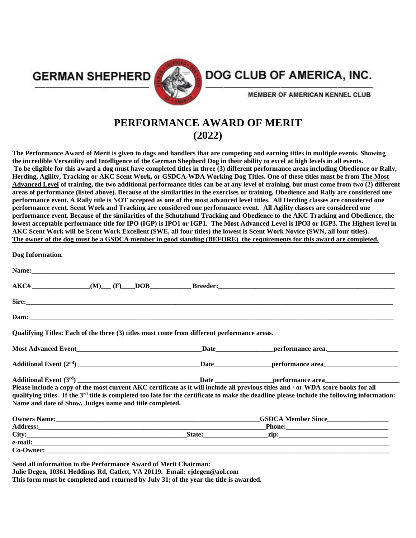**GERMAN SHEPHERD** 



## DOG CLUB OF AMERICA, INC.

**MEMBER OF AMERICAN KENNEL CLUB** 

## **PERFORMANCE AWARD OF MERIT (2022)**

**The Performance Award of Merit is given to dogs and handlers that are competing and earning titles in multiple events. Showing the incredible Versatility and Intelligence of the German Shepherd Dog in their ability to excel at high levels in all events. To be eligible for this award a dog must have completed titles in three (3) different performance areas including Obedience or Rally, Herding, Agility, Tracking or AKC Scent Work, or GSDCA-WDA Working Dog Titles. One of these titles must be from The Most Advanced Level of training, the two additional performance titles can be at any level of training, but must come from two (2) different areas of performance (listed above). Because of the similarities in the exercises or training, Obedience and Rally are considered one performance event. A Rally title is NOT accepted as one of the most advanced level titles. All Herding classes are considered one performance event. Scent Work and Tracking are considered one performance event. All Agility classes are considered one performance event. Because of the similarities of the Schutzhund Tracking and Obedience to the AKC Tracking and Obedience, the lowest acceptable performance title for IPO (IGP) is IPO1 or IGP1. The Most Advanced Level is IPO3 or IGP3. The Highest level in AKC Scent Work will be Scent Work Excellent (SWE, all four titles) the lowest is Scent Work Novice (SWN, all four titles). The owner of the dog must be a GSDCA member in good standing (BEFORE) the requirements for this award are completed.**

| Name: <u>Name:</u> 2006. 2007. 2008. 2010. 2010. 2010. 2010. 2010. 2010. 2010. 2010. 2010. 2010. 2010. 2010. 2010. 2010. 2010. 2010. 2010. 2010. 2010. 2010. 2010. 2010. 2010. 2010. 2010. 2010. 2010. 2010. 2010. 2010. 2010. 2010 |                                                                                                                                                                                                                                                                                               |
|-------------------------------------------------------------------------------------------------------------------------------------------------------------------------------------------------------------------------------------|-----------------------------------------------------------------------------------------------------------------------------------------------------------------------------------------------------------------------------------------------------------------------------------------------|
|                                                                                                                                                                                                                                     | $AKC#$ (M) (F) $DOB$ Breeder: $\qquad \qquad$ Breeder:                                                                                                                                                                                                                                        |
|                                                                                                                                                                                                                                     |                                                                                                                                                                                                                                                                                               |
|                                                                                                                                                                                                                                     |                                                                                                                                                                                                                                                                                               |
| Qualifying Titles: Each of the three (3) titles must come from different performance areas.                                                                                                                                         |                                                                                                                                                                                                                                                                                               |
|                                                                                                                                                                                                                                     |                                                                                                                                                                                                                                                                                               |
|                                                                                                                                                                                                                                     |                                                                                                                                                                                                                                                                                               |
|                                                                                                                                                                                                                                     |                                                                                                                                                                                                                                                                                               |
| Name and date of Show, Judges name and title completed.                                                                                                                                                                             | Please include a copy of the most current AKC certificate as it will include all previous titles and / or WDA score books for all<br>qualifying titles. If the 3 <sup>rd</sup> title is completed too late for the certificate to make the deadline please include the following information: |
| Owners Name: 1988 Manual Communication of the Manual Communication of the Manual Communication of the Manual Communication of the Manual Communication of the Manual Communication of the Manual Communication of the Manual C      | <b>GSDCA Member Since</b>                                                                                                                                                                                                                                                                     |
|                                                                                                                                                                                                                                     |                                                                                                                                                                                                                                                                                               |
|                                                                                                                                                                                                                                     |                                                                                                                                                                                                                                                                                               |
|                                                                                                                                                                                                                                     |                                                                                                                                                                                                                                                                                               |
|                                                                                                                                                                                                                                     |                                                                                                                                                                                                                                                                                               |

**Julie Degen, 10361 Heddings Rd, Catlett, VA 20119. Email: ejdegen@aol.com This form must be completed and returned by July 31; of the year the title is awarded.**